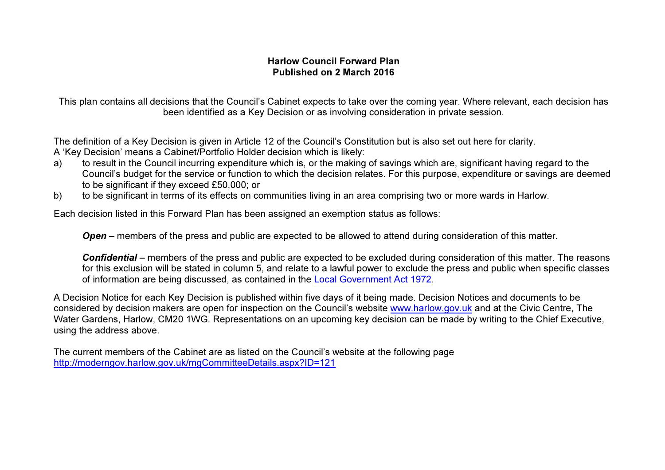## Harlow Council Forward Plan Published on 2 March 2016

This plan contains all decisions that the Council's Cabinet expects to take over the coming year. Where relevant, each decision has been identified as a Key Decision or as involving consideration in private session.

The definition of a Key Decision is given in Article 12 of the Council's Constitution but is also set out here for clarity. A 'Key Decision' means a Cabinet/Portfolio Holder decision which is likely:

- a) to result in the Council incurring expenditure which is, or the making of savings which are, significant having regard to the Council's budget for the service or function to which the decision relates. For this purpose, expenditure or savings are deemed to be significant if they exceed £50,000; or
- b) to be significant in terms of its effects on communities living in an area comprising two or more wards in Harlow.

Each decision listed in this Forward Plan has been assigned an exemption status as follows:

Open – members of the press and public are expected to be allowed to attend during consideration of this matter.

Confidential – members of the press and public are expected to be excluded during consideration of this matter. The reasons for this exclusion will be stated in column 5, and relate to a lawful power to exclude the press and public when specific classes

of information are being discussed, as contained in the Local Government Act 1972.<br>A Decision Notice for each Key Decision is published within five days of it being made. Decision Notices and documents to be considered by decision makers are open for inspection on the Council's website www.harlow.gov.uk and at the Civic Centre, The Water Gardens, Harlow, CM20 1WG. Representations on an upcoming key decision can be made by writing to the Chief Executive, using the address above.

The current members of the Cabinet are as listed on the Council's website at the following page http://moderngov.harlow.gov.uk/mgCommitteeDetails.aspx?ID=121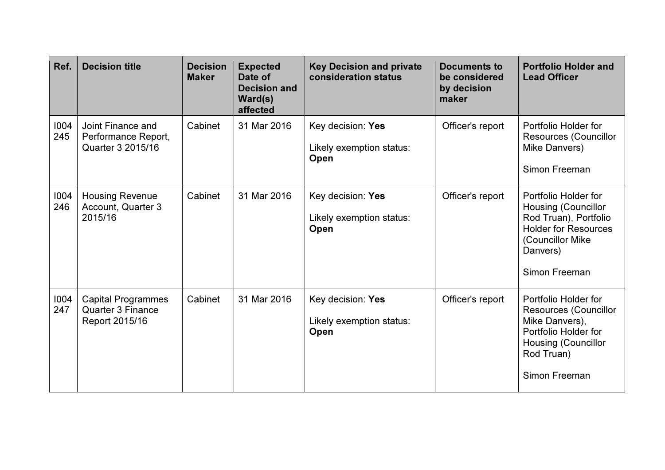| Ref.        | <b>Decision title</b>                                                   | <b>Decision</b><br><b>Maker</b> | <b>Expected</b><br>Date of<br><b>Decision and</b><br>Ward(s)<br>affected | <b>Key Decision and private</b><br>consideration status | <b>Documents to</b><br>be considered<br>by decision<br>maker | <b>Portfolio Holder and</b><br><b>Lead Officer</b>                                                                                                          |
|-------------|-------------------------------------------------------------------------|---------------------------------|--------------------------------------------------------------------------|---------------------------------------------------------|--------------------------------------------------------------|-------------------------------------------------------------------------------------------------------------------------------------------------------------|
| 1004<br>245 | Joint Finance and<br>Performance Report,<br>Quarter 3 2015/16           | Cabinet                         | 31 Mar 2016                                                              | Key decision: Yes<br>Likely exemption status:<br>Open   | Officer's report                                             | Portfolio Holder for<br>Resources (Councillor<br>Mike Danvers)<br>Simon Freeman                                                                             |
| 1004<br>246 | <b>Housing Revenue</b><br>Account, Quarter 3<br>2015/16                 | Cabinet                         | 31 Mar 2016                                                              | Key decision: Yes<br>Likely exemption status:<br>Open   | Officer's report                                             | Portfolio Holder for<br><b>Housing (Councillor</b><br>Rod Truan), Portfolio<br><b>Holder for Resources</b><br>(Councillor Mike<br>Danvers)<br>Simon Freeman |
| 1004<br>247 | <b>Capital Programmes</b><br><b>Quarter 3 Finance</b><br>Report 2015/16 | Cabinet                         | 31 Mar 2016                                                              | Key decision: Yes<br>Likely exemption status:<br>Open   | Officer's report                                             | Portfolio Holder for<br><b>Resources (Councillor</b><br>Mike Danvers),<br>Portfolio Holder for<br><b>Housing (Councillor</b><br>Rod Truan)<br>Simon Freeman |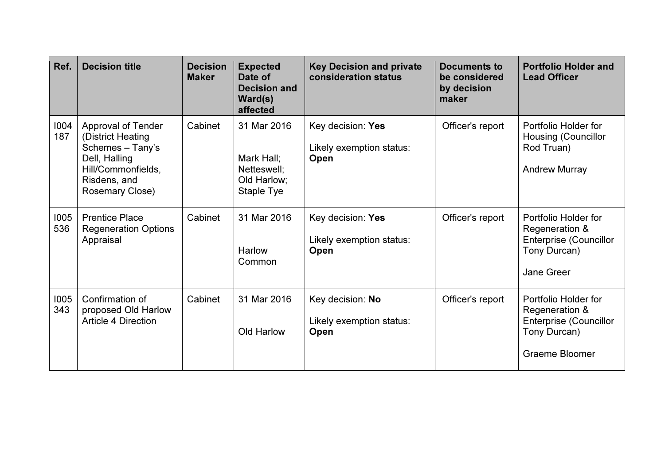| Ref.        | <b>Decision title</b>                                                                                                                        | <b>Decision</b><br><b>Maker</b> | <b>Expected</b><br>Date of<br><b>Decision and</b><br>Ward(s)<br>affected | <b>Key Decision and private</b><br>consideration status | Documents to<br>be considered<br>by decision<br>maker | <b>Portfolio Holder and</b><br><b>Lead Officer</b>                                                               |
|-------------|----------------------------------------------------------------------------------------------------------------------------------------------|---------------------------------|--------------------------------------------------------------------------|---------------------------------------------------------|-------------------------------------------------------|------------------------------------------------------------------------------------------------------------------|
| 1004<br>187 | <b>Approval of Tender</b><br>(District Heating<br>Schemes - Tany's<br>Dell, Halling<br>Hill/Commonfields,<br>Risdens, and<br>Rosemary Close) | Cabinet                         | 31 Mar 2016<br>Mark Hall:<br>Netteswell;<br>Old Harlow;<br>Staple Tye    | Key decision: Yes<br>Likely exemption status:<br>Open   | Officer's report                                      | Portfolio Holder for<br><b>Housing (Councillor</b><br>Rod Truan)<br><b>Andrew Murray</b>                         |
| 1005<br>536 | <b>Prentice Place</b><br><b>Regeneration Options</b><br>Appraisal                                                                            | Cabinet                         | 31 Mar 2016<br><b>Harlow</b><br>Common                                   | Key decision: Yes<br>Likely exemption status:<br>Open   | Officer's report                                      | Portfolio Holder for<br>Regeneration &<br><b>Enterprise (Councillor</b><br>Tony Durcan)<br>Jane Greer            |
| 1005<br>343 | Confirmation of<br>proposed Old Harlow<br><b>Article 4 Direction</b>                                                                         | Cabinet                         | 31 Mar 2016<br>Old Harlow                                                | Key decision: No<br>Likely exemption status:<br>Open    | Officer's report                                      | Portfolio Holder for<br>Regeneration &<br><b>Enterprise (Councillor</b><br>Tony Durcan)<br><b>Graeme Bloomer</b> |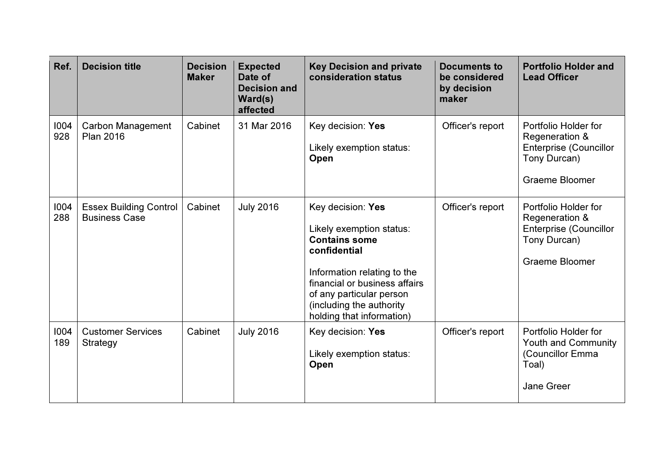| Ref.        | <b>Decision title</b>                                 | <b>Decision</b><br><b>Maker</b> | <b>Expected</b><br>Date of<br><b>Decision and</b><br>Ward(s)<br>affected | <b>Key Decision and private</b><br>consideration status                                                                                                                                                                                    | <b>Documents to</b><br>be considered<br>by decision<br>maker | <b>Portfolio Holder and</b><br><b>Lead Officer</b>                                                               |
|-------------|-------------------------------------------------------|---------------------------------|--------------------------------------------------------------------------|--------------------------------------------------------------------------------------------------------------------------------------------------------------------------------------------------------------------------------------------|--------------------------------------------------------------|------------------------------------------------------------------------------------------------------------------|
| 1004<br>928 | Carbon Management<br><b>Plan 2016</b>                 | Cabinet                         | 31 Mar 2016                                                              | Key decision: Yes<br>Likely exemption status:<br>Open                                                                                                                                                                                      | Officer's report                                             | Portfolio Holder for<br>Regeneration &<br><b>Enterprise (Councillor</b><br>Tony Durcan)<br><b>Graeme Bloomer</b> |
| 1004<br>288 | <b>Essex Building Control</b><br><b>Business Case</b> | Cabinet                         | <b>July 2016</b>                                                         | Key decision: Yes<br>Likely exemption status:<br><b>Contains some</b><br>confidential<br>Information relating to the<br>financial or business affairs<br>of any particular person<br>(including the authority<br>holding that information) | Officer's report                                             | Portfolio Holder for<br>Regeneration &<br><b>Enterprise (Councillor</b><br>Tony Durcan)<br>Graeme Bloomer        |
| 1004<br>189 | <b>Customer Services</b><br>Strategy                  | Cabinet                         | <b>July 2016</b>                                                         | Key decision: Yes<br>Likely exemption status:<br>Open                                                                                                                                                                                      | Officer's report                                             | Portfolio Holder for<br><b>Youth and Community</b><br>(Councillor Emma<br>Toal)<br><b>Jane Greer</b>             |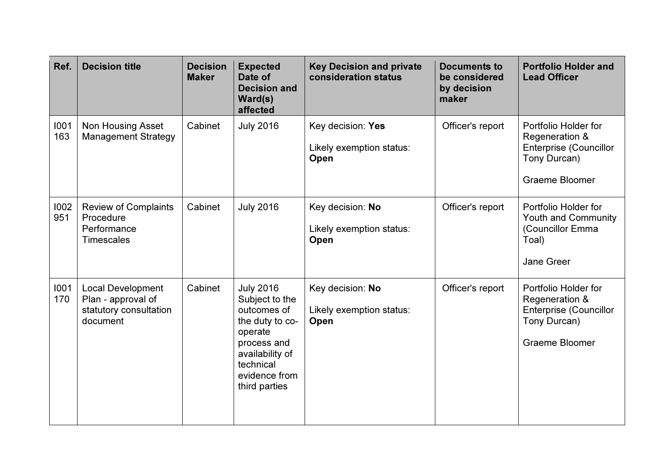| Ref.        | <b>Decision title</b>                                                                | <b>Decision</b><br><b>Maker</b> | <b>Expected</b><br>Date of<br><b>Decision and</b><br>Ward(s)<br>affected                                                                                         | <b>Key Decision and private</b><br>consideration status | <b>Documents to</b><br>be considered<br>by decision<br>maker | <b>Portfolio Holder and</b><br><b>Lead Officer</b>                                                               |
|-------------|--------------------------------------------------------------------------------------|---------------------------------|------------------------------------------------------------------------------------------------------------------------------------------------------------------|---------------------------------------------------------|--------------------------------------------------------------|------------------------------------------------------------------------------------------------------------------|
| 1001<br>163 | <b>Non Housing Asset</b><br><b>Management Strategy</b>                               | Cabinet                         | <b>July 2016</b>                                                                                                                                                 | Key decision: Yes<br>Likely exemption status:<br>Open   | Officer's report                                             | Portfolio Holder for<br>Regeneration &<br><b>Enterprise (Councillor</b><br>Tony Durcan)<br><b>Graeme Bloomer</b> |
| 1002<br>951 | <b>Review of Complaints</b><br>Procedure<br>Performance<br><b>Timescales</b>         | Cabinet                         | <b>July 2016</b>                                                                                                                                                 | Key decision: No<br>Likely exemption status:<br>Open    | Officer's report                                             | Portfolio Holder for<br><b>Youth and Community</b><br>(Councillor Emma<br>Toal)<br>Jane Greer                    |
| 1001<br>170 | <b>Local Development</b><br>Plan - approval of<br>statutory consultation<br>document | Cabinet                         | <b>July 2016</b><br>Subject to the<br>outcomes of<br>the duty to co-<br>operate<br>process and<br>availability of<br>technical<br>evidence from<br>third parties | Key decision: No<br>Likely exemption status:<br>Open    | Officer's report                                             | Portfolio Holder for<br>Regeneration &<br><b>Enterprise (Councillor</b><br>Tony Durcan)<br><b>Graeme Bloomer</b> |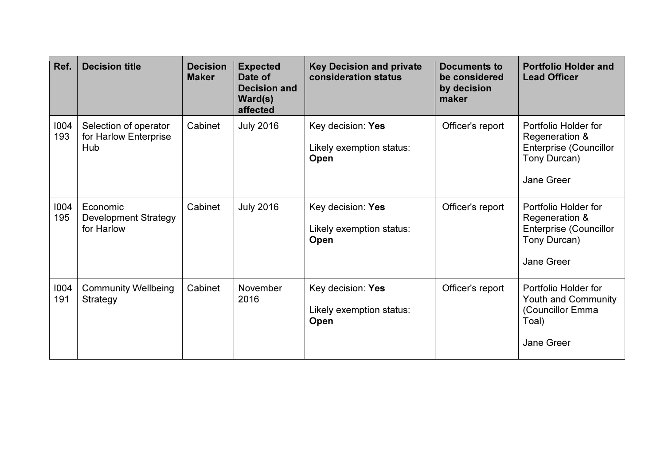| Ref.        | <b>Decision title</b>                                 | <b>Decision</b><br><b>Maker</b> | <b>Expected</b><br>Date of<br><b>Decision and</b><br>Ward(s)<br>affected | <b>Key Decision and private</b><br>consideration status | Documents to<br>be considered<br>by decision<br>maker | <b>Portfolio Holder and</b><br><b>Lead Officer</b>                                                           |
|-------------|-------------------------------------------------------|---------------------------------|--------------------------------------------------------------------------|---------------------------------------------------------|-------------------------------------------------------|--------------------------------------------------------------------------------------------------------------|
| 1004<br>193 | Selection of operator<br>for Harlow Enterprise<br>Hub | Cabinet                         | <b>July 2016</b>                                                         | Key decision: Yes<br>Likely exemption status:<br>Open   | Officer's report                                      | Portfolio Holder for<br>Regeneration &<br><b>Enterprise (Councillor</b><br>Tony Durcan)<br><b>Jane Greer</b> |
| 1004<br>195 | Economic<br><b>Development Strategy</b><br>for Harlow | Cabinet                         | <b>July 2016</b>                                                         | Key decision: Yes<br>Likely exemption status:<br>Open   | Officer's report                                      | Portfolio Holder for<br>Regeneration &<br><b>Enterprise (Councillor</b><br>Tony Durcan)<br><b>Jane Greer</b> |
| 1004<br>191 | <b>Community Wellbeing</b><br>Strategy                | Cabinet                         | November<br>2016                                                         | Key decision: Yes<br>Likely exemption status:<br>Open   | Officer's report                                      | Portfolio Holder for<br><b>Youth and Community</b><br>(Councillor Emma<br>Toal)<br><b>Jane Greer</b>         |